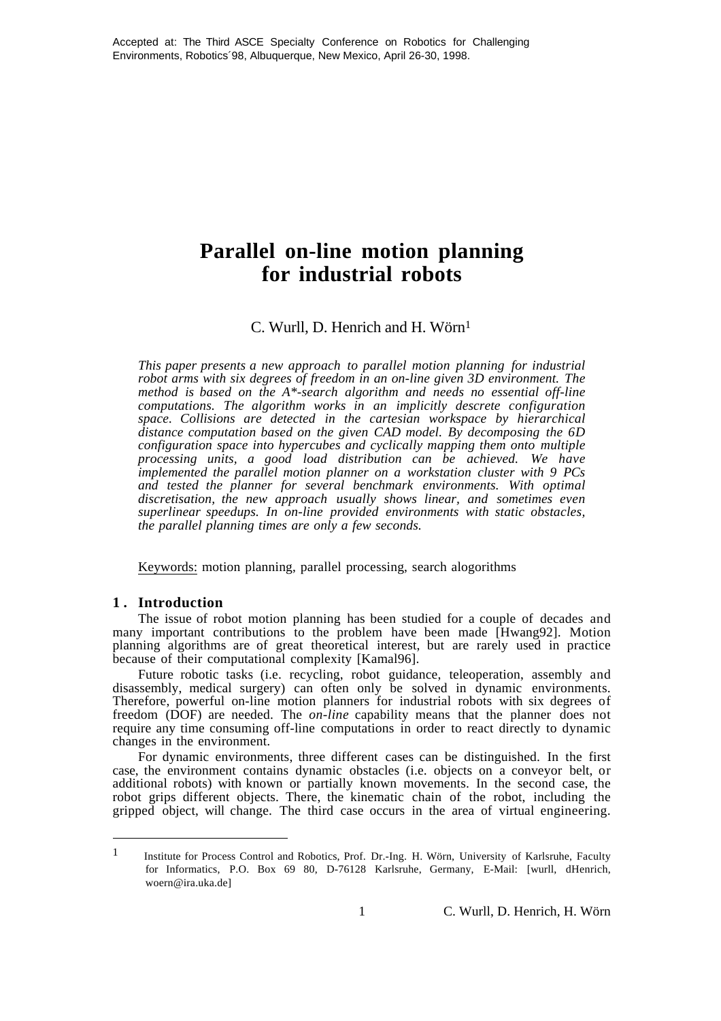# **Parallel on-line motion planning for industrial robots**

# C. Wurll, D. Henrich and H. Wörn<sup>1</sup>

*This paper presents a new approach to parallel motion planning for industrial robot arms with six degrees of freedom in an on-line given 3D environment. The method is based on the A\*-search algorithm and needs no essential off-line computations. The algorithm works in an implicitly descrete configuration space. Collisions are detected in the cartesian workspace by hierarchical distance computation based on the given CAD model. By decomposing the 6D configuration space into hypercubes and cyclically mapping them onto multiple processing units, a good load distribution can be achieved. We have implemented the parallel motion planner on a workstation cluster with 9 PCs and tested the planner for several benchmark environments. With optimal discretisation, the new approach usually shows linear, and sometimes even superlinear speedups. In on-line provided environments with static obstacles, the parallel planning times are only a few seconds.*

Keywords: motion planning, parallel processing, search alogorithms

# **1 . Introduction**

 $\overline{a}$ 

The issue of robot motion planning has been studied for a couple of decades and many important contributions to the problem have been made [Hwang92]. Motion planning algorithms are of great theoretical interest, but are rarely used in practice because of their computational complexity [Kamal96].

Future robotic tasks (i.e. recycling, robot guidance, teleoperation, assembly and disassembly, medical surgery) can often only be solved in dynamic environments. Therefore, powerful on-line motion planners for industrial robots with six degrees of freedom (DOF) are needed. The *on-line* capability means that the planner does not require any time consuming off-line computations in order to react directly to dynamic changes in the environment.

For dynamic environments, three different cases can be distinguished. In the first case, the environment contains dynamic obstacles (i.e. objects on a conveyor belt, or additional robots) with known or partially known movements. In the second case, the robot grips different objects. There, the kinematic chain of the robot, including the gripped object, will change. The third case occurs in the area of virtual engineering.

<sup>1</sup> Institute for Process Control and Robotics, Prof. Dr.-Ing. H. Wörn, University of Karlsruhe, Faculty for Informatics, P.O. Box 69 80, D-76128 Karlsruhe, Germany, E-Mail: [wurll, dHenrich, woern@ira.uka.de]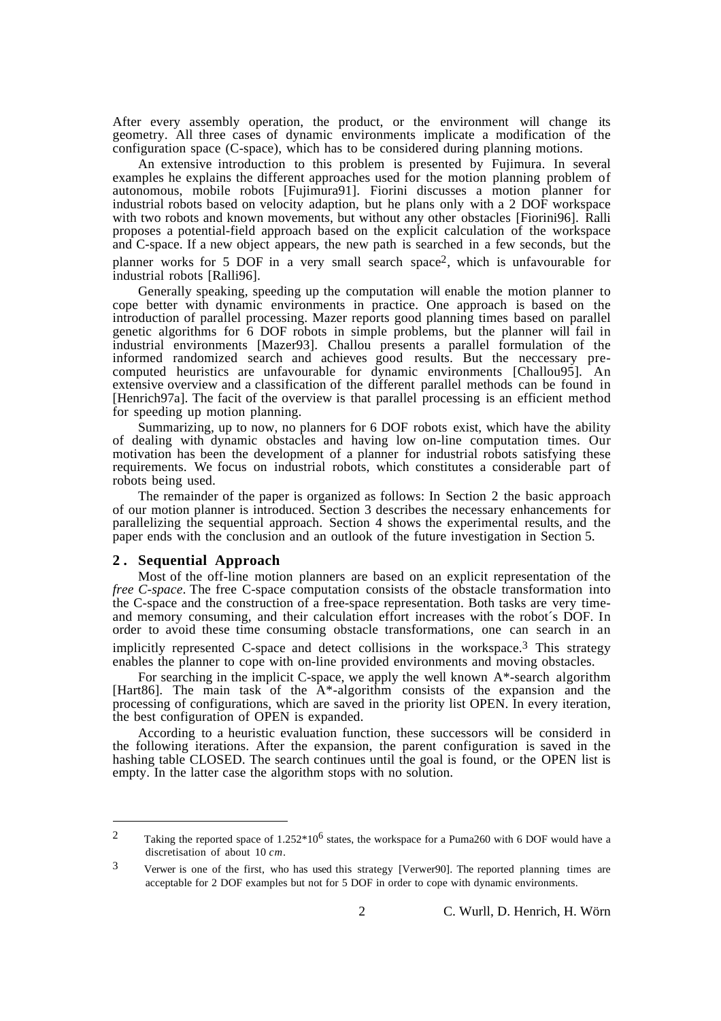After every assembly operation, the product, or the environment will change its geometry. All three cases of dynamic environments implicate a modification of the configuration space (C-space), which has to be considered during planning motions.

An extensive introduction to this problem is presented by Fujimura. In several examples he explains the different approaches used for the motion planning problem of autonomous, mobile robots [Fujimura91]. Fiorini discusses a motion planner for industrial robots based on velocity adaption, but he plans only with a 2 DOF workspace with two robots and known movements, but without any other obstacles [Fiorini96]. Ralli proposes a potential-field approach based on the explicit calculation of the workspace and C-space. If a new object appears, the new path is searched in a few seconds, but the planner works for 5 DOF in a very small search space2, which is unfavourable for industrial robots [Ralli96].

Generally speaking, speeding up the computation will enable the motion planner to cope better with dynamic environments in practice. One approach is based on the introduction of parallel processing. Mazer reports good planning times based on parallel genetic algorithms for 6 DOF robots in simple problems, but the planner will fail in industrial environments [Mazer93]. Challou presents a parallel formulation of the informed randomized search and achieves good results. But the neccessary precomputed heuristics are unfavourable for dynamic environments [Challou95]. An extensive overview and a classification of the different parallel methods can be found in [Henrich97a]. The facit of the overview is that parallel processing is an efficient method for speeding up motion planning.

Summarizing, up to now, no planners for 6 DOF robots exist, which have the ability of dealing with dynamic obstacles and having low on-line computation times. Our motivation has been the development of a planner for industrial robots satisfying these requirements. We focus on industrial robots, which constitutes a considerable part of robots being used.

The remainder of the paper is organized as follows: In Section 2 the basic approach of our motion planner is introduced. Section 3 describes the necessary enhancements for parallelizing the sequential approach. Section 4 shows the experimental results, and the paper ends with the conclusion and an outlook of the future investigation in Section 5.

#### **2 . Sequential Approach**

 $\overline{a}$ 

Most of the off-line motion planners are based on an explicit representation of the *free C-space*. The free C-space computation consists of the obstacle transformation into the C-space and the construction of a free-space representation. Both tasks are very timeand memory consuming, and their calculation effort increases with the robot´s DOF. In order to avoid these time consuming obstacle transformations, one can search in an implicitly represented C-space and detect collisions in the workspace.3 This strategy enables the planner to cope with on-line provided environments and moving obstacles.

For searching in the implicit C-space, we apply the well known A\*-search algorithm [Hart86]. The main task of the A\*-algorithm consists of the expansion and the processing of configurations, which are saved in the priority list OPEN. In every iteration, the best configuration of OPEN is expanded.

According to a heuristic evaluation function, these successors will be considerd in the following iterations. After the expansion, the parent configuration is saved in the hashing table CLOSED. The search continues until the goal is found, or the OPEN list is empty. In the latter case the algorithm stops with no solution.

<sup>2</sup> Taking the reported space of 1.252\*106 states, the workspace for a Puma260 with 6 DOF would have a discretisation of about 10 *cm*.

<sup>3</sup> Verwer is one of the first, who has used this strategy [Verwer90]. The reported planning times are acceptable for 2 DOF examples but not for 5 DOF in order to cope with dynamic environments.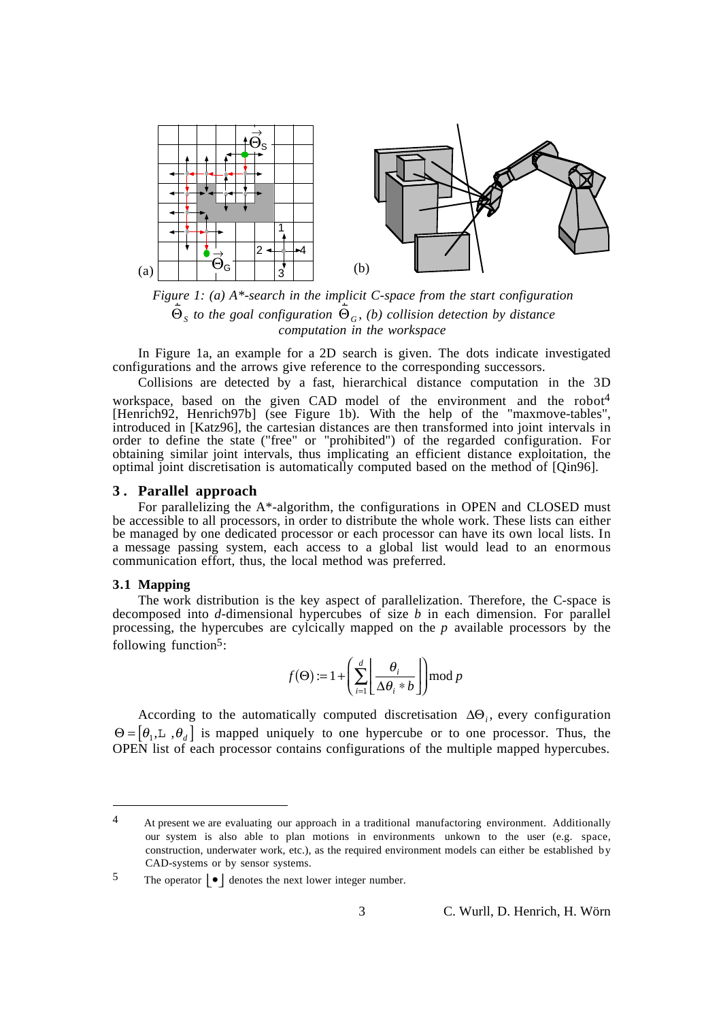

*Figure 1: (a)* A<sup>\*</sup>-search in the implicit *C*-space from the start configuration Θ*S to the goal configuration*  Θ*<sup>G</sup> , (b) collision detection by distance computation in the workspace*

In Figure 1a, an example for a 2D search is given. The dots indicate investigated configurations and the arrows give reference to the corresponding successors.

Collisions are detected by a fast, hierarchical distance computation in the 3D workspace, based on the given CAD model of the environment and the robot<sup>4</sup> [Henrich92, Henrich97b] (see Figure 1b). With the help of the "maxmove-tables", introduced in [Katz96], the cartesian distances are then transformed into joint intervals in order to define the state ("free" or "prohibited") of the regarded configuration. For obtaining similar joint intervals, thus implicating an efficient distance exploitation, the optimal joint discretisation is automatically computed based on the method of [Qin96].

## **3 . Parallel approach**

For parallelizing the A\*-algorithm, the configurations in OPEN and CLOSED must be accessible to all processors, in order to distribute the whole work. These lists can either be managed by one dedicated processor or each processor can have its own local lists. In a message passing system, each access to a global list would lead to an enormous communication effort, thus, the local method was preferred.

#### **3.1 Mapping**

 $\overline{a}$ 

The work distribution is the key aspect of parallelization. Therefore, the C-space is decomposed into *d*-dimensional hypercubes of size *b* in each dimension. For parallel processing, the hypercubes are cylcically mapped on the *p* available processors by the following function $5$ :

$$
f(\Theta) := 1 + \left(\sum_{i=1}^{d} \left\lfloor \frac{\theta_i}{\Delta \theta_i * b} \right\rfloor \mod p\right)
$$

According to the automatically computed discretisation ∆Θ*<sup>i</sup>* , every configuration  $\Theta = [\theta_1, \mathbb{L}, \theta_d]$  is mapped uniquely to one hypercube or to one processor. Thus, the OPEN list of each processor contains configurations of the multiple mapped hypercubes.

<sup>&</sup>lt;sup>4</sup> At present we are evaluating our approach in a traditional manufactoring environment. Additionally our system is also able to plan motions in environments unkown to the user (e.g. space, construction, underwater work, etc.), as the required environment models can either be established by CAD-systems or by sensor systems.

<sup>5</sup> The operator  $\vert \bullet \vert$  denotes the next lower integer number.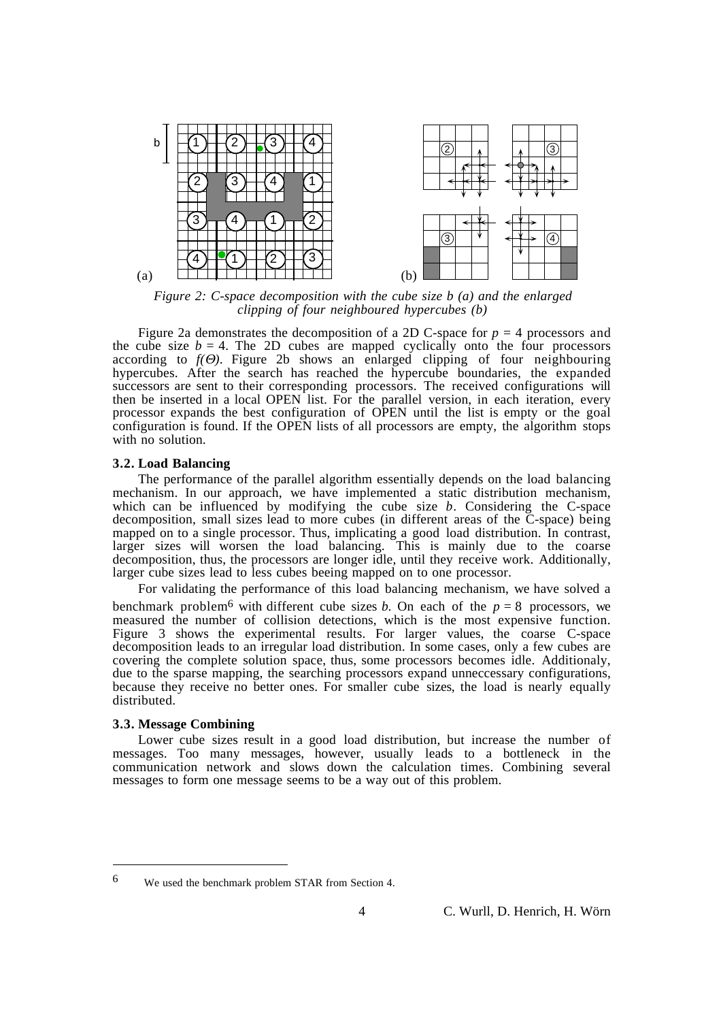

*Figure 2: C-space decomposition with the cube size b (a) and the enlarged clipping of four neighboured hypercubes (b)*

Figure 2a demonstrates the decomposition of a 2D C-space for  $p = 4$  processors and the cube size  $b = 4$ . The 2D cubes are mapped cyclically onto the four processors according to *f(*Θ*)*. Figure 2b shows an enlarged clipping of four neighbouring hypercubes. After the search has reached the hypercube boundaries, the expanded successors are sent to their corresponding processors. The received configurations will then be inserted in a local OPEN list. For the parallel version, in each iteration, every processor expands the best configuration of OPEN until the list is empty or the goal configuration is found. If the OPEN lists of all processors are empty, the algorithm stops with no solution.

### **3.2. Load Balancing**

The performance of the parallel algorithm essentially depends on the load balancing mechanism. In our approach, we have implemented a static distribution mechanism, which can be influenced by modifying the cube size *b*. Considering the C-space decomposition, small sizes lead to more cubes (in different areas of the C-space) being mapped on to a single processor. Thus, implicating a good load distribution. In contrast, larger sizes will worsen the load balancing. This is mainly due to the coarse decomposition, thus, the processors are longer idle, until they receive work. Additionally, larger cube sizes lead to less cubes beeing mapped on to one processor.

For validating the performance of this load balancing mechanism, we have solved a

benchmark problem<sup>6</sup> with different cube sizes *b*. On each of the  $p = 8$  processors, we measured the number of collision detections, which is the most expensive function. Figure 3 shows the experimental results. For larger values, the coarse C-space decomposition leads to an irregular load distribution. In some cases, only a few cubes are covering the complete solution space, thus, some processors becomes idle. Additionaly, due to the sparse mapping, the searching processors expand unneccessary configurations, because they receive no better ones. For smaller cube sizes, the load is nearly equally distributed.

## **3.3. Message Combining**

 $\overline{a}$ 

Lower cube sizes result in a good load distribution, but increase the number of messages. Too many messages, however, usually leads to a bottleneck in the communication network and slows down the calculation times. Combining several messages to form one message seems to be a way out of this problem.

<sup>6</sup> We used the benchmark problem STAR from Section 4.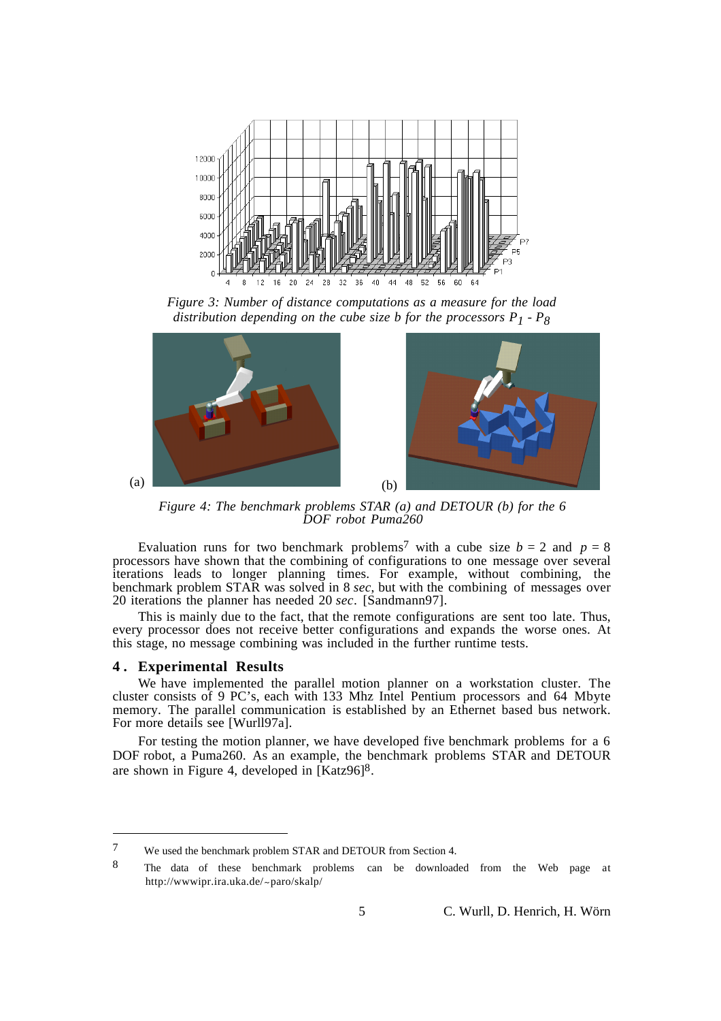

*Figure 3: Number of distance computations as a measure for the load distribution depending on the cube size b for the processors*  $P_1 - P_8$ 



*Figure 4: The benchmark problems STAR (a) and DETOUR (b) for the 6 DOF robot Puma260*

Evaluation runs for two benchmark problems<sup>7</sup> with a cube size  $b = 2$  and  $p = 8$ processors have shown that the combining of configurations to one message over several iterations leads to longer planning times. For example, without combining, the benchmark problem STAR was solved in 8 *sec*, but with the combining of messages over 20 iterations the planner has needed 20 *sec*. [Sandmann97].

This is mainly due to the fact, that the remote configurations are sent too late. Thus, every processor does not receive better configurations and expands the worse ones. At this stage, no message combining was included in the further runtime tests.

#### **4 . Experimental Results**

 $\overline{a}$ 

We have implemented the parallel motion planner on a workstation cluster. The cluster consists of 9 PC's, each with 133 Mhz Intel Pentium processors and 64 Mbyte memory. The parallel communication is established by an Ethernet based bus network. For more details see [Wurll97a].

For testing the motion planner, we have developed five benchmark problems for a 6 DOF robot, a Puma260. As an example, the benchmark problems STAR and DETOUR are shown in Figure 4, developed in [Katz96]8.

<sup>7</sup> We used the benchmark problem STAR and DETOUR from Section 4.

<sup>8</sup> The data of these benchmark problems can be downloaded from the Web page at http://wwwipr.ira.uka.de/~paro/skalp/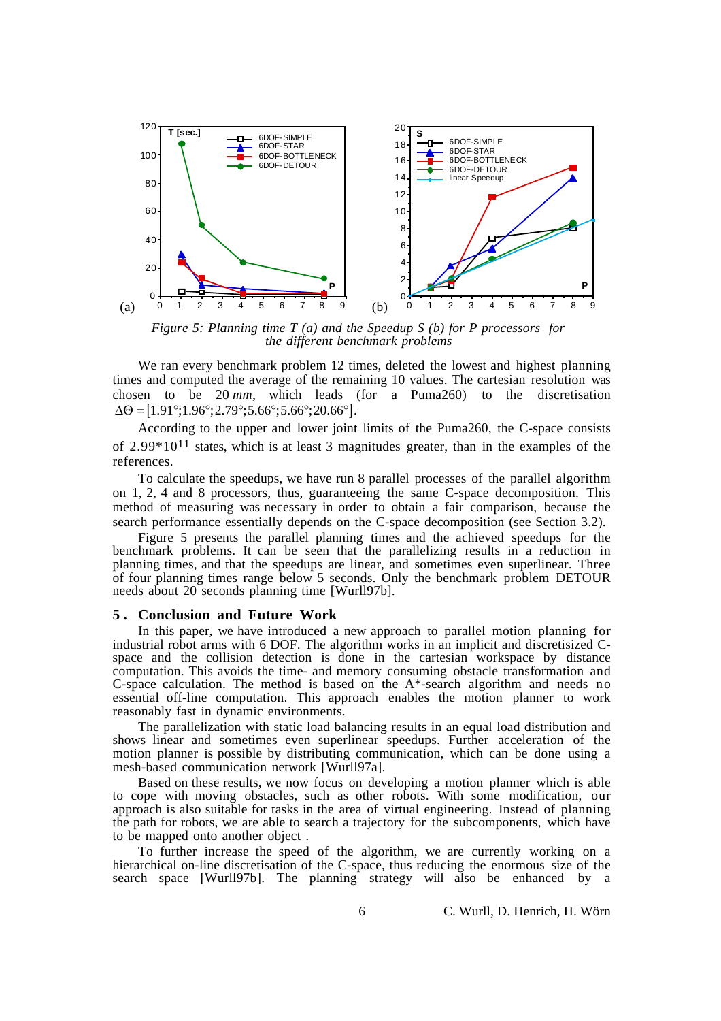

*Figure 5: Planning time T (a) and the Speedup S (b) for P processors for the different benchmark problems*

We ran every benchmark problem 12 times, deleted the lowest and highest planning times and computed the average of the remaining 10 values. The cartesian resolution was chosen to be 20 *mm*, which leads (for a Puma260) to the discretisation  $\Delta\Theta = [1.91^\circ; 1.96^\circ; 2.79^\circ; 5.66^\circ; 5.66^\circ; 20.66^\circ].$ 

According to the upper and lower joint limits of the Puma260, the C-space consists of  $2.99*10<sup>11</sup>$  states, which is at least 3 magnitudes greater, than in the examples of the references.

To calculate the speedups, we have run 8 parallel processes of the parallel algorithm on 1, 2, 4 and 8 processors, thus, guaranteeing the same C-space decomposition. This method of measuring was necessary in order to obtain a fair comparison, because the search performance essentially depends on the C-space decomposition (see Section 3.2).

Figure 5 presents the parallel planning times and the achieved speedups for the benchmark problems. It can be seen that the parallelizing results in a reduction in planning times, and that the speedups are linear, and sometimes even superlinear. Three of four planning times range below 5 seconds. Only the benchmark problem DETOUR needs about 20 seconds planning time [Wurll97b].

### **5 . Conclusion and Future Work**

In this paper, we have introduced a new approach to parallel motion planning for industrial robot arms with 6 DOF. The algorithm works in an implicit and discretisized Cspace and the collision detection is done in the cartesian workspace by distance computation. This avoids the time- and memory consuming obstacle transformation and C-space calculation. The method is based on the A\*-search algorithm and needs no essential off-line computation. This approach enables the motion planner to work reasonably fast in dynamic environments.

The parallelization with static load balancing results in an equal load distribution and shows linear and sometimes even superlinear speedups. Further acceleration of the motion planner is possible by distributing communication, which can be done using a mesh-based communication network [Wurll97a].

Based on these results, we now focus on developing a motion planner which is able to cope with moving obstacles, such as other robots. With some modification, our approach is also suitable for tasks in the area of virtual engineering. Instead of planning the path for robots, we are able to search a trajectory for the subcomponents, which have to be mapped onto another object .

To further increase the speed of the algorithm, we are currently working on a hierarchical on-line discretisation of the C-space, thus reducing the enormous size of the search space [Wurll97b]. The planning strategy will also be enhanced by a